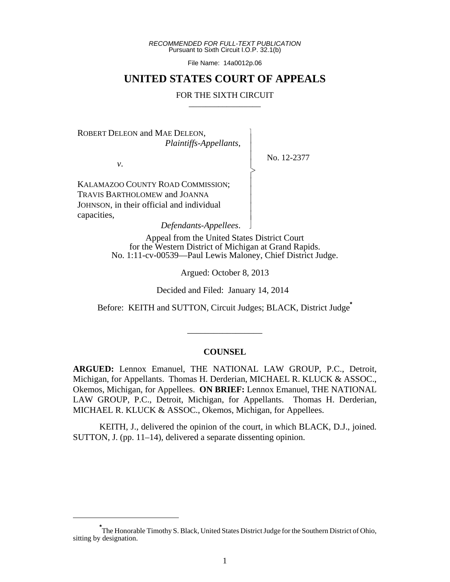*RECOMMENDED FOR FULL-TEXT PUBLICATION* Pursuant to Sixth Circuit I.O.P. 32.1(b)

File Name: 14a0012p.06

## **UNITED STATES COURT OF APPEALS**

#### FOR THE SIXTH CIRCUIT

 $\overline{\phantom{a}}$ - - - > , - - - - - N

ROBERT DELEON and MAE DELEON, *Plaintiffs-Appellants*,

*v*.

No. 12-2377

KALAMAZOO COUNTY ROAD COMMISSION; TRAVIS BARTHOLOMEW and JOANNA JOHNSON, in their official and individual capacities,

*Defendants-Appellees*.

Appeal from the United States District Court for the Western District of Michigan at Grand Rapids. No. 1:11-cv-00539—Paul Lewis Maloney, Chief District Judge.

Argued: October 8, 2013

Decided and Filed: January 14, 2014

Before: KEITH and SUTTON, Circuit Judges; BLACK, District Judge**\***

\_\_\_\_\_\_\_\_\_\_\_\_\_\_\_\_\_

#### **COUNSEL**

**ARGUED:** Lennox Emanuel, THE NATIONAL LAW GROUP, P.C., Detroit, Michigan, for Appellants. Thomas H. Derderian, MICHAEL R. KLUCK & ASSOC., Okemos, Michigan, for Appellees. **ON BRIEF:** Lennox Emanuel, THE NATIONAL LAW GROUP, P.C., Detroit, Michigan, for Appellants. Thomas H. Derderian, MICHAEL R. KLUCK & ASSOC., Okemos, Michigan, for Appellees.

KEITH, J., delivered the opinion of the court, in which BLACK, D.J., joined. SUTTON, J. (pp. 11–14), delivered a separate dissenting opinion.

**<sup>\*</sup>** The Honorable Timothy S. Black, United States District Judge for the Southern District of Ohio, sitting by designation.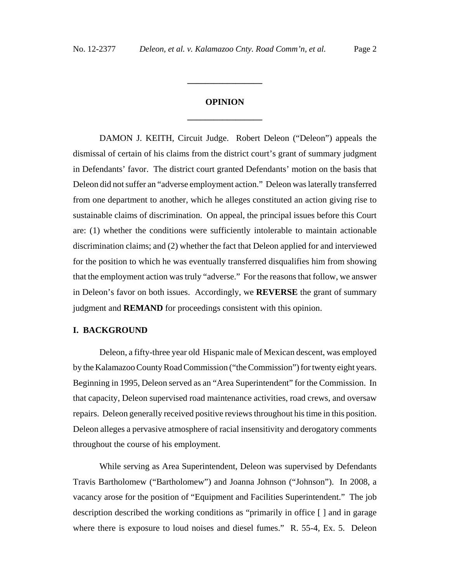# **OPINION \_\_\_\_\_\_\_\_\_\_\_\_\_\_\_\_\_**

**\_\_\_\_\_\_\_\_\_\_\_\_\_\_\_\_\_**

DAMON J. KEITH, Circuit Judge. Robert Deleon ("Deleon") appeals the dismissal of certain of his claims from the district court's grant of summary judgment in Defendants' favor. The district court granted Defendants' motion on the basis that Deleon did not suffer an "adverse employment action." Deleon was laterally transferred from one department to another, which he alleges constituted an action giving rise to sustainable claims of discrimination. On appeal, the principal issues before this Court are: (1) whether the conditions were sufficiently intolerable to maintain actionable discrimination claims; and (2) whether the fact that Deleon applied for and interviewed for the position to which he was eventually transferred disqualifies him from showing that the employment action was truly "adverse." For the reasons that follow, we answer in Deleon's favor on both issues. Accordingly, we **REVERSE** the grant of summary judgment and **REMAND** for proceedings consistent with this opinion.

#### **I. BACKGROUND**

Deleon, a fifty-three year old Hispanic male of Mexican descent, was employed by the Kalamazoo County Road Commission ("the Commission") for twenty eight years. Beginning in 1995, Deleon served as an "Area Superintendent" for the Commission. In that capacity, Deleon supervised road maintenance activities, road crews, and oversaw repairs. Deleon generally received positive reviews throughout his time in this position. Deleon alleges a pervasive atmosphere of racial insensitivity and derogatory comments throughout the course of his employment.

While serving as Area Superintendent, Deleon was supervised by Defendants Travis Bartholomew ("Bartholomew") and Joanna Johnson ("Johnson"). In 2008, a vacancy arose for the position of "Equipment and Facilities Superintendent." The job description described the working conditions as "primarily in office [ ] and in garage where there is exposure to loud noises and diesel fumes." R. 55-4, Ex. 5. Deleon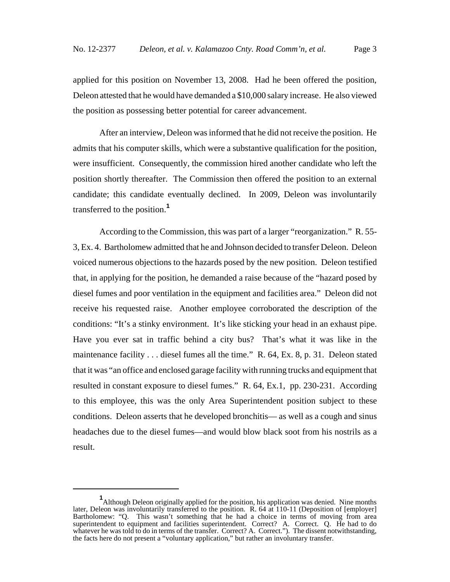applied for this position on November 13, 2008. Had he been offered the position, Deleon attested that he would have demanded a \$10,000 salary increase. He also viewed the position as possessing better potential for career advancement.

After an interview, Deleon was informed that he did not receive the position. He admits that his computer skills, which were a substantive qualification for the position, were insufficient. Consequently, the commission hired another candidate who left the position shortly thereafter. The Commission then offered the position to an external candidate; this candidate eventually declined. In 2009, Deleon was involuntarily transferred to the position.**<sup>1</sup>**

According to the Commission, this was part of a larger "reorganization." R. 55- 3, Ex. 4. Bartholomew admitted that he and Johnson decided to transfer Deleon. Deleon voiced numerous objections to the hazards posed by the new position. Deleon testified that, in applying for the position, he demanded a raise because of the "hazard posed by diesel fumes and poor ventilation in the equipment and facilities area." Deleon did not receive his requested raise. Another employee corroborated the description of the conditions: "It's a stinky environment. It's like sticking your head in an exhaust pipe. Have you ever sat in traffic behind a city bus? That's what it was like in the maintenance facility . . . diesel fumes all the time." R. 64, Ex. 8, p. 31. Deleon stated that it was "an office and enclosed garage facility with running trucks and equipment that resulted in constant exposure to diesel fumes." R. 64, Ex.1, pp. 230-231. According to this employee, this was the only Area Superintendent position subject to these conditions. Deleon asserts that he developed bronchitis— as well as a cough and sinus headaches due to the diesel fumes—and would blow black soot from his nostrils as a result.

**<sup>1</sup>** Although Deleon originally applied for the position, his application was denied. Nine months later, Deleon was involuntarily transferred to the position. R. 64 at 110-11 (Deposition of [employer] Bartholomew: "Q. This wasn't something that he had a choice in terms of moving from area superintendent to equipment and facilities superintendent. Correct? A. Correct. Q. He had to do whatever he was told to do in terms of the transfer. Correct? A. Correct."). The dissent notwithstanding, the facts here do not present a "voluntary application," but rather an involuntary transfer.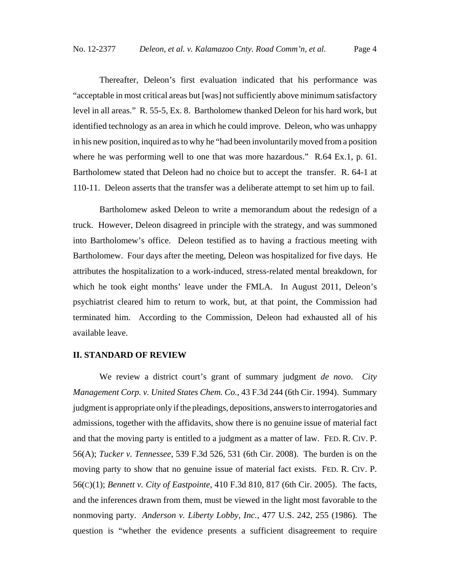Thereafter, Deleon's first evaluation indicated that his performance was "acceptable in most critical areas but [was] not sufficiently above minimum satisfactory level in all areas." R. 55-5, Ex. 8. Bartholomew thanked Deleon for his hard work, but identified technology as an area in which he could improve. Deleon, who was unhappy in his new position, inquired as to why he "had been involuntarily moved from a position where he was performing well to one that was more hazardous." R.64 Ex.1, p. 61. Bartholomew stated that Deleon had no choice but to accept the transfer. R. 64-1 at 110-11. Deleon asserts that the transfer was a deliberate attempt to set him up to fail.

Bartholomew asked Deleon to write a memorandum about the redesign of a truck. However, Deleon disagreed in principle with the strategy, and was summoned into Bartholomew's office. Deleon testified as to having a fractious meeting with Bartholomew. Four days after the meeting, Deleon was hospitalized for five days. He attributes the hospitalization to a work-induced, stress-related mental breakdown, for which he took eight months' leave under the FMLA. In August 2011, Deleon's psychiatrist cleared him to return to work, but, at that point, the Commission had terminated him. According to the Commission, Deleon had exhausted all of his available leave.

#### **II. STANDARD OF REVIEW**

We review a district court's grant of summary judgment *de novo*. *City Management Corp. v. United States Chem. Co.,* 43 F.3d 244 (6th Cir. 1994). Summary judgment is appropriate only if the pleadings, depositions, answers to interrogatories and admissions, together with the affidavits, show there is no genuine issue of material fact and that the moving party is entitled to a judgment as a matter of law. FED. R. CIV. P. 56(A); *Tucker v. Tennessee*, 539 F.3d 526, 531 (6th Cir. 2008). The burden is on the moving party to show that no genuine issue of material fact exists. FED. R. CIV. P. 56(C)(1); *Bennett v. City of Eastpointe*, 410 F.3d 810, 817 (6th Cir. 2005). The facts, and the inferences drawn from them, must be viewed in the light most favorable to the nonmoving party. *Anderson v. Liberty Lobby, Inc.*, 477 U.S. 242, 255 (1986). The question is "whether the evidence presents a sufficient disagreement to require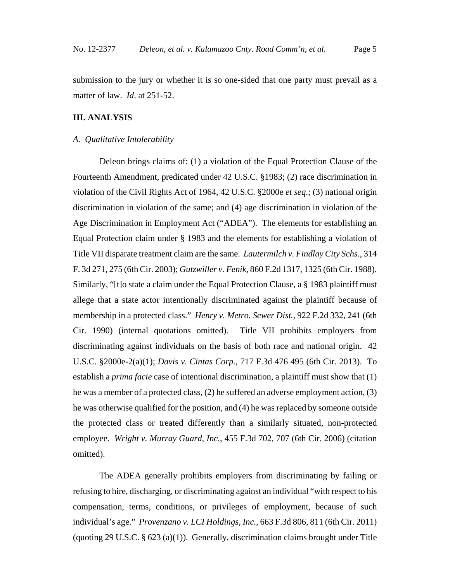submission to the jury or whether it is so one-sided that one party must prevail as a matter of law. *Id*. at 251-52.

## **III. ANALYSIS**

#### *A. Qualitative Intolerability*

Deleon brings claims of: (1) a violation of the Equal Protection Clause of the Fourteenth Amendment, predicated under 42 U.S.C. §1983; (2) race discrimination in violation of the Civil Rights Act of 1964, 42 U.S.C. §2000e *et seq*.; (3) national origin discrimination in violation of the same; and (4) age discrimination in violation of the Age Discrimination in Employment Act ("ADEA"). The elements for establishing an Equal Protection claim under § 1983 and the elements for establishing a violation of Title VII disparate treatment claim are the same. *Lautermilch v. Findlay City Schs.*, 314 F. 3d 271, 275 (6th Cir. 2003); *Gutzwiller v. Fenik*, 860 F.2d 1317, 1325 (6th Cir. 1988). Similarly, "[t]o state a claim under the Equal Protection Clause, a § 1983 plaintiff must allege that a state actor intentionally discriminated against the plaintiff because of membership in a protected class." *Henry v. Metro. Sewer Dist.*, 922 F.2d 332, 241 (6th Cir. 1990) (internal quotations omitted). Title VII prohibits employers from discriminating against individuals on the basis of both race and national origin. 42 U.S.C. §2000e-2(a)(1); *Davis v. Cintas Corp.*, 717 F.3d 476 495 (6th Cir. 2013). To establish a *prima facie* case of intentional discrimination, a plaintiff must show that (1) he was a member of a protected class, (2) he suffered an adverse employment action, (3) he was otherwise qualified for the position, and (4) he was replaced by someone outside the protected class or treated differently than a similarly situated, non-protected employee. *Wright v. Murray Guard, Inc.*, 455 F.3d 702, 707 (6th Cir. 2006) (citation omitted).

The ADEA generally prohibits employers from discriminating by failing or refusing to hire, discharging, or discriminating against an individual "with respect to his compensation, terms, conditions, or privileges of employment, because of such individual's age." *Provenzano v. LCI Holdings, Inc.*, 663 F.3d 806, 811 (6th Cir. 2011) (quoting 29 U.S.C. § 623 (a)(1)). Generally, discrimination claims brought under Title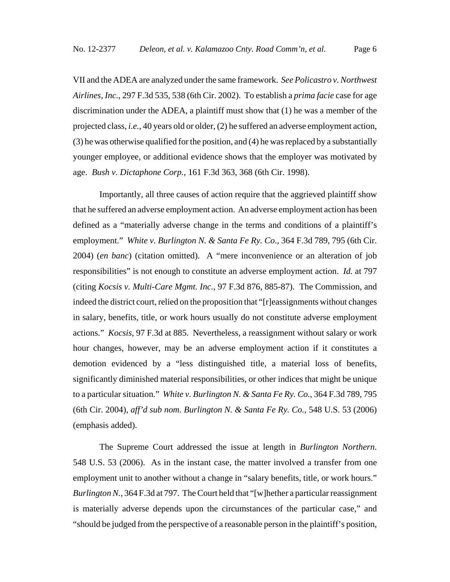VII and the ADEA are analyzed under the same framework. *See Policastro v. Northwest Airlines, Inc.*, 297 F.3d 535, 538 (6th Cir. 2002). To establish a *prima facie* case for age discrimination under the ADEA, a plaintiff must show that (1) he was a member of the projected class, *i.e.*, 40 years old or older, (2) he suffered an adverse employment action, (3) he was otherwise qualified for the position, and (4) he was replaced by a substantially younger employee, or additional evidence shows that the employer was motivated by age. *Bush v. Dictaphone Corp.*, 161 F.3d 363, 368 (6th Cir. 1998).

Importantly, all three causes of action require that the aggrieved plaintiff show that he suffered an adverse employment action. An adverse employment action has been defined as a "materially adverse change in the terms and conditions of a plaintiff's employment." *White v. Burlington N. & Santa Fe Ry. Co*., 364 F.3d 789, 795 (6th Cir. 2004) (*en banc*) (citation omitted). A "mere inconvenience or an alteration of job responsibilities" is not enough to constitute an adverse employment action. *Id.* at 797 (citing *Kocsis v. Multi-Care Mgmt. Inc.*, 97 F.3d 876, 885-87). The Commission, and indeed the district court, relied on the proposition that "[r]eassignments without changes in salary, benefits, title, or work hours usually do not constitute adverse employment actions." *Kocsis*, 97 F.3d at 885. Nevertheless, a reassignment without salary or work hour changes, however, may be an adverse employment action if it constitutes a demotion evidenced by a "less distinguished title, a material loss of benefits, significantly diminished material responsibilities, or other indices that might be unique to a particular situation." *White v. Burlington N. & Santa Fe Ry. Co.*, 364 F.3d 789, 795 (6th Cir. 2004), *aff'd sub nom. Burlington N. & Santa Fe Ry. Co.*, 548 U.S. 53 (2006) (emphasis added).

The Supreme Court addressed the issue at length in *Burlington Northern*. 548 U.S. 53 (2006). As in the instant case, the matter involved a transfer from one employment unit to another without a change in "salary benefits, title, or work hours." *Burlington N.*, 364 F.3d at 797. The Court held that "[w]hether a particular reassignment is materially adverse depends upon the circumstances of the particular case," and "should be judged from the perspective of a reasonable person in the plaintiff's position,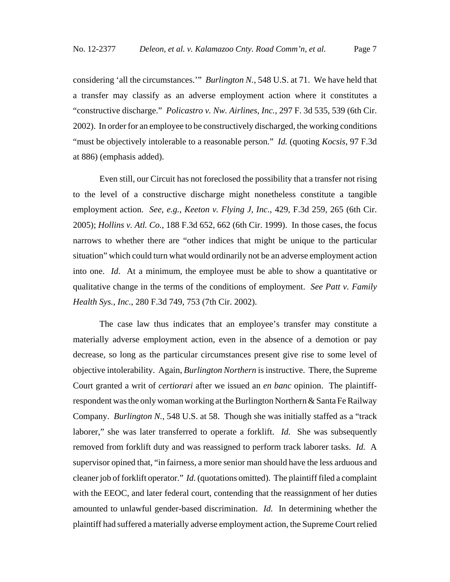considering 'all the circumstances.'" *Burlington N.*, 548 U.S. at 71. We have held that a transfer may classify as an adverse employment action where it constitutes a "constructive discharge." *Policastro v. Nw. Airlines, Inc.*, 297 F. 3d 535, 539 (6th Cir. 2002). In order for an employee to be constructively discharged, the working conditions "must be objectively intolerable to a reasonable person." *Id.* (quoting *Kocsis*, 97 F.3d at 886) (emphasis added).

Even still, our Circuit has not foreclosed the possibility that a transfer not rising to the level of a constructive discharge might nonetheless constitute a tangible employment action. *See*, *e.g.*, *Keeton v. Flying J, Inc.*, 429, F.3d 259, 265 (6th Cir. 2005); *Hollins v. Atl. Co.*, 188 F.3d 652, 662 (6th Cir. 1999). In those cases, the focus narrows to whether there are "other indices that might be unique to the particular situation" which could turn what would ordinarily not be an adverse employment action into one. *Id*. At a minimum, the employee must be able to show a quantitative or qualitative change in the terms of the conditions of employment. *See Patt v. Family Health Sys., Inc.*, 280 F.3d 749, 753 (7th Cir. 2002).

The case law thus indicates that an employee's transfer may constitute a materially adverse employment action, even in the absence of a demotion or pay decrease, so long as the particular circumstances present give rise to some level of objective intolerability. Again, *Burlington Northern* is instructive. There, the Supreme Court granted a writ of *certiorari* after we issued an *en banc* opinion. The plaintiffrespondent was the only woman working at the Burlington Northern & Santa Fe Railway Company. *Burlington N.*, 548 U.S. at 58. Though she was initially staffed as a "track laborer," she was later transferred to operate a forklift. *Id.* She was subsequently removed from forklift duty and was reassigned to perform track laborer tasks. *Id.* A supervisor opined that, "in fairness, a more senior man should have the less arduous and cleaner job of forklift operator." *Id.* (quotations omitted). The plaintiff filed a complaint with the EEOC, and later federal court, contending that the reassignment of her duties amounted to unlawful gender-based discrimination. *Id.* In determining whether the plaintiff had suffered a materially adverse employment action, the Supreme Court relied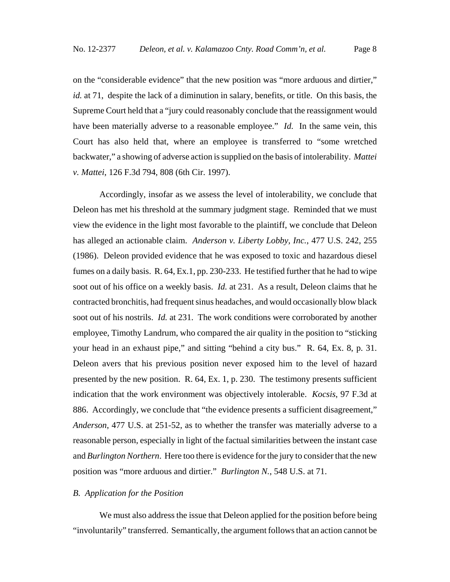on the "considerable evidence" that the new position was "more arduous and dirtier," *id.* at 71, despite the lack of a diminution in salary, benefits, or title. On this basis, the Supreme Court held that a "jury could reasonably conclude that the reassignment would have been materially adverse to a reasonable employee." *Id.* In the same vein, this Court has also held that, where an employee is transferred to "some wretched backwater," a showing of adverse action is supplied on the basis of intolerability. *Mattei v. Mattei*, 126 F.3d 794, 808 (6th Cir. 1997).

Accordingly, insofar as we assess the level of intolerability, we conclude that Deleon has met his threshold at the summary judgment stage. Reminded that we must view the evidence in the light most favorable to the plaintiff, we conclude that Deleon has alleged an actionable claim. *Anderson v. Liberty Lobby, Inc.*, 477 U.S. 242, 255 (1986). Deleon provided evidence that he was exposed to toxic and hazardous diesel fumes on a daily basis. R. 64, Ex.1, pp. 230-233. He testified further that he had to wipe soot out of his office on a weekly basis. *Id.* at 231. As a result, Deleon claims that he contracted bronchitis, had frequent sinus headaches, and would occasionally blow black soot out of his nostrils. *Id.* at 231. The work conditions were corroborated by another employee, Timothy Landrum, who compared the air quality in the position to "sticking your head in an exhaust pipe," and sitting "behind a city bus." R. 64, Ex. 8, p. 31. Deleon avers that his previous position never exposed him to the level of hazard presented by the new position. R. 64, Ex. 1, p. 230. The testimony presents sufficient indication that the work environment was objectively intolerable. *Kocsis*, 97 F.3d at 886. Accordingly, we conclude that "the evidence presents a sufficient disagreement," *Anderson*, 477 U.S. at 251-52, as to whether the transfer was materially adverse to a reasonable person, especially in light of the factual similarities between the instant case and *Burlington Northern*. Here too there is evidence for the jury to consider that the new position was "more arduous and dirtier." *Burlington N.*, 548 U.S. at 71.

### *B. Application for the Position*

We must also address the issue that Deleon applied for the position before being "involuntarily" transferred. Semantically, the argument follows that an action cannot be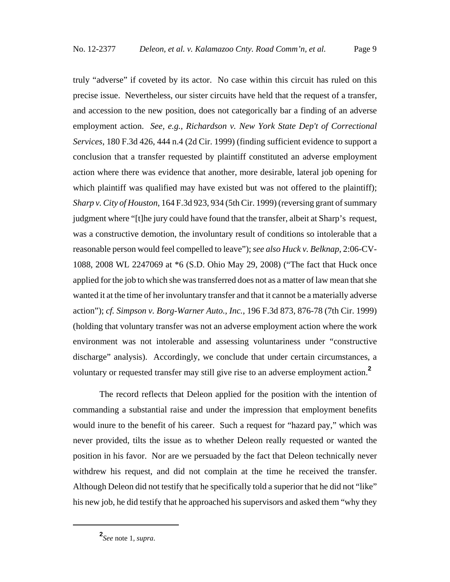truly "adverse" if coveted by its actor. No case within this circuit has ruled on this precise issue. Nevertheless, our sister circuits have held that the request of a transfer, and accession to the new position, does not categorically bar a finding of an adverse employment action. *See, e.g.*, *Richardson v. New York State Dep't of Correctional Services*, 180 F.3d 426, 444 n.4 (2d Cir. 1999) (finding sufficient evidence to support a conclusion that a transfer requested by plaintiff constituted an adverse employment action where there was evidence that another, more desirable, lateral job opening for which plaintiff was qualified may have existed but was not offered to the plaintiff); *Sharp v. City of Houston*, 164 F.3d 923, 934 (5th Cir. 1999) (reversing grant of summary judgment where "[t]he jury could have found that the transfer, albeit at Sharp's request, was a constructive demotion, the involuntary result of conditions so intolerable that a reasonable person would feel compelled to leave"); *see also Huck v. Belknap*, 2:06-CV-1088, 2008 WL 2247069 at \*6 (S.D. Ohio May 29, 2008) ("The fact that Huck once applied for the job to which she was transferred does not as a matter of law mean that she wanted it at the time of her involuntary transfer and that it cannot be a materially adverse action"); *cf. Simpson v. Borg-Warner Auto., Inc.*, 196 F.3d 873, 876-78 (7th Cir. 1999) (holding that voluntary transfer was not an adverse employment action where the work environment was not intolerable and assessing voluntariness under "constructive discharge" analysis). Accordingly, we conclude that under certain circumstances, a voluntary or requested transfer may still give rise to an adverse employment action.**<sup>2</sup>**

The record reflects that Deleon applied for the position with the intention of commanding a substantial raise and under the impression that employment benefits would inure to the benefit of his career. Such a request for "hazard pay," which was never provided, tilts the issue as to whether Deleon really requested or wanted the position in his favor. Nor are we persuaded by the fact that Deleon technically never withdrew his request, and did not complain at the time he received the transfer. Although Deleon did not testify that he specifically told a superior that he did not "like" his new job, he did testify that he approached his supervisors and asked them "why they

**<sup>2</sup>** *See* note 1, *supra*.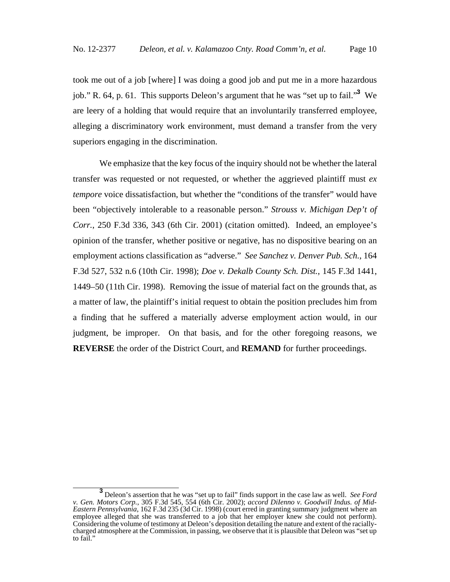took me out of a job [where] I was doing a good job and put me in a more hazardous job." R. 64, p. 61. This supports Deleon's argument that he was "set up to fail."**<sup>3</sup>** We are leery of a holding that would require that an involuntarily transferred employee, alleging a discriminatory work environment, must demand a transfer from the very superiors engaging in the discrimination.

We emphasize that the key focus of the inquiry should not be whether the lateral transfer was requested or not requested, or whether the aggrieved plaintiff must *ex tempore* voice dissatisfaction, but whether the "conditions of the transfer" would have been "objectively intolerable to a reasonable person." *Strouss v. Michigan Dep't of Corr.*, 250 F.3d 336, 343 (6th Cir. 2001) (citation omitted). Indeed, an employee's opinion of the transfer, whether positive or negative, has no dispositive bearing on an employment actions classification as "adverse." *See Sanchez v. Denver Pub. Sch.*, 164 F.3d 527, 532 n.6 (10th Cir. 1998); *Doe v. Dekalb County Sch. Dist.*, 145 F.3d 1441, 1449–50 (11th Cir. 1998). Removing the issue of material fact on the grounds that, as a matter of law, the plaintiff's initial request to obtain the position precludes him from a finding that he suffered a materially adverse employment action would, in our judgment, be improper. On that basis, and for the other foregoing reasons, we **REVERSE** the order of the District Court, and **REMAND** for further proceedings.

**<sup>3</sup>** Deleon's assertion that he was "set up to fail" finds support in the case law as well. *See Ford v. Gen. Motors Corp.*, 305 F.3d 545, 554 (6th Cir. 2002); *accord DiIenno v. Goodwill Indus. of Mid-Eastern Pennsylvania*, 162 F.3d 235 (3d Cir. 1998) (court erred in granting summary judgment where an employee alleged that she was transferred to a job that her employer knew she could not perform). Considering the volume of testimony at Deleon's deposition detailing the nature and extent of the raciallycharged atmosphere at the Commission, in passing, we observe that it is plausible that Deleon was "set up to fail."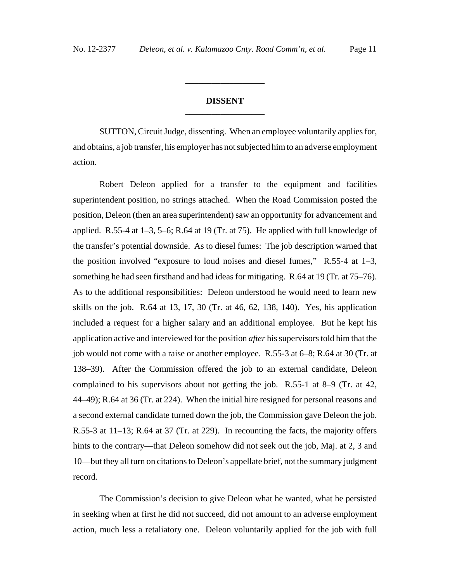## **DISSENT \_\_\_\_\_\_\_\_\_\_\_\_\_\_\_\_\_\_**

**\_\_\_\_\_\_\_\_\_\_\_\_\_\_\_\_\_\_**

SUTTON, Circuit Judge, dissenting. When an employee voluntarily applies for, and obtains, a job transfer, his employer has not subjected him to an adverse employment action.

Robert Deleon applied for a transfer to the equipment and facilities superintendent position, no strings attached. When the Road Commission posted the position, Deleon (then an area superintendent) saw an opportunity for advancement and applied. R.55-4 at  $1-3$ , 5-6; R.64 at 19 (Tr. at 75). He applied with full knowledge of the transfer's potential downside. As to diesel fumes: The job description warned that the position involved "exposure to loud noises and diesel fumes,"  $R.55-4$  at  $1-3$ , something he had seen firsthand and had ideas for mitigating. R.64 at 19 (Tr. at 75–76). As to the additional responsibilities: Deleon understood he would need to learn new skills on the job. R.64 at 13, 17, 30 (Tr. at 46, 62, 138, 140). Yes, his application included a request for a higher salary and an additional employee. But he kept his application active and interviewed for the position *after* his supervisors told him that the job would not come with a raise or another employee. R.55-3 at 6–8; R.64 at 30 (Tr. at 138–39). After the Commission offered the job to an external candidate, Deleon complained to his supervisors about not getting the job. R.55-1 at 8–9 (Tr. at 42, 44–49); R.64 at 36 (Tr. at 224). When the initial hire resigned for personal reasons and a second external candidate turned down the job, the Commission gave Deleon the job. R.55-3 at 11–13; R.64 at 37 (Tr. at 229). In recounting the facts, the majority offers hints to the contrary—that Deleon somehow did not seek out the job, Maj. at 2, 3 and 10—but they all turn on citations to Deleon's appellate brief, not the summary judgment record.

The Commission's decision to give Deleon what he wanted, what he persisted in seeking when at first he did not succeed, did not amount to an adverse employment action, much less a retaliatory one. Deleon voluntarily applied for the job with full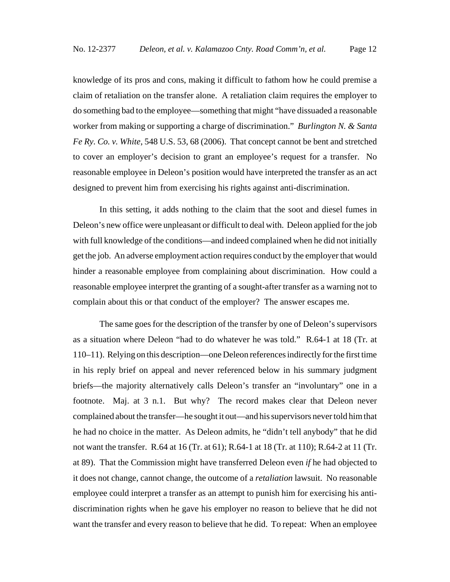knowledge of its pros and cons, making it difficult to fathom how he could premise a claim of retaliation on the transfer alone. A retaliation claim requires the employer to do something bad to the employee—something that might "have dissuaded a reasonable worker from making or supporting a charge of discrimination." *Burlington N. & Santa Fe Ry. Co. v. White*, 548 U.S. 53, 68 (2006). That concept cannot be bent and stretched to cover an employer's decision to grant an employee's request for a transfer. No reasonable employee in Deleon's position would have interpreted the transfer as an act designed to prevent him from exercising his rights against anti-discrimination.

In this setting, it adds nothing to the claim that the soot and diesel fumes in Deleon's new office were unpleasant or difficult to deal with. Deleon applied for the job with full knowledge of the conditions—and indeed complained when he did not initially get the job. An adverse employment action requires conduct by the employer that would hinder a reasonable employee from complaining about discrimination. How could a reasonable employee interpret the granting of a sought-after transfer as a warning not to complain about this or that conduct of the employer? The answer escapes me.

The same goes for the description of the transfer by one of Deleon's supervisors as a situation where Deleon "had to do whatever he was told." R.64-1 at 18 (Tr. at 110–11). Relying on this description—one Deleon references indirectly for the first time in his reply brief on appeal and never referenced below in his summary judgment briefs—the majority alternatively calls Deleon's transfer an "involuntary" one in a footnote. Maj. at 3 n.1. But why? The record makes clear that Deleon never complained about the transfer—he sought it out—and his supervisors never told him that he had no choice in the matter. As Deleon admits, he "didn't tell anybody" that he did not want the transfer. R.64 at 16 (Tr. at 61); R.64-1 at 18 (Tr. at 110); R.64-2 at 11 (Tr. at 89). That the Commission might have transferred Deleon even *if* he had objected to it does not change, cannot change, the outcome of a *retaliation* lawsuit. No reasonable employee could interpret a transfer as an attempt to punish him for exercising his antidiscrimination rights when he gave his employer no reason to believe that he did not want the transfer and every reason to believe that he did. To repeat: When an employee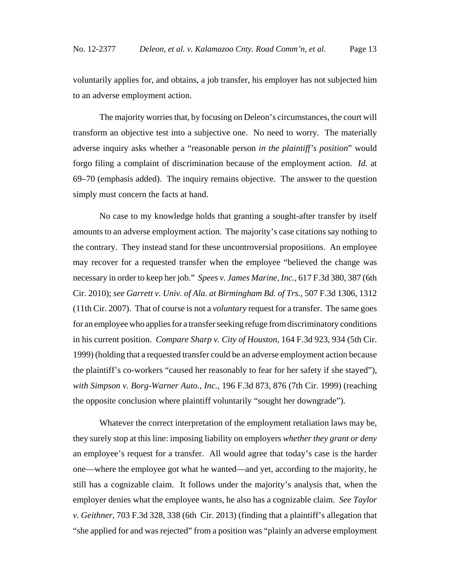voluntarily applies for, and obtains, a job transfer, his employer has not subjected him to an adverse employment action.

The majority worries that, by focusing on Deleon's circumstances, the court will transform an objective test into a subjective one. No need to worry. The materially adverse inquiry asks whether a "reasonable person *in the plaintiff's position*" would forgo filing a complaint of discrimination because of the employment action. *Id.* at 69–70 (emphasis added). The inquiry remains objective. The answer to the question simply must concern the facts at hand.

No case to my knowledge holds that granting a sought-after transfer by itself amounts to an adverse employment action. The majority's case citations say nothing to the contrary. They instead stand for these uncontroversial propositions. An employee may recover for a requested transfer when the employee "believed the change was necessary in order to keep her job." *Spees v. James Marine, Inc.*, 617 F.3d 380, 387 (6th Cir. 2010); *see Garrett v. Univ. of Ala. at Birmingham Bd. of Trs.*, 507 F.3d 1306, 1312 (11th Cir. 2007). That of course is not a *voluntary* request for a transfer. The same goes for an employee who applies for a transfer seeking refuge from discriminatory conditions in his current position. *Compare Sharp v. City of Houston*, 164 F.3d 923, 934 (5th Cir. 1999) (holding that a requested transfer could be an adverse employment action because the plaintiff's co-workers "caused her reasonably to fear for her safety if she stayed"), *with Simpson v. Borg-Warner Auto., Inc.*, 196 F.3d 873, 876 (7th Cir. 1999) (reaching the opposite conclusion where plaintiff voluntarily "sought her downgrade").

Whatever the correct interpretation of the employment retaliation laws may be, they surely stop at this line: imposing liability on employers *whether they grant or deny* an employee's request for a transfer. All would agree that today's case is the harder one—where the employee got what he wanted—and yet, according to the majority, he still has a cognizable claim. It follows under the majority's analysis that, when the employer denies what the employee wants, he also has a cognizable claim. *See Taylor v. Geithner*, 703 F.3d 328, 338 (6th Cir. 2013) (finding that a plaintiff's allegation that "she applied for and was rejected" from a position was "plainly an adverse employment